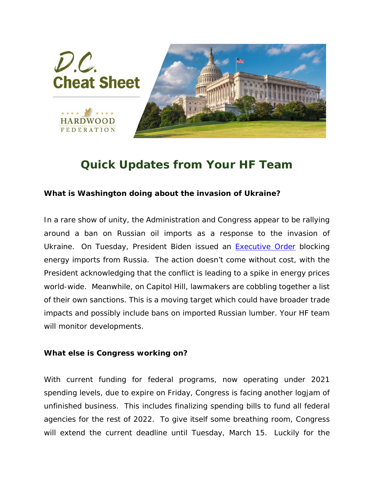

## *Quick Updates from Your HF Team*

## **What is Washington doing about the invasion of Ukraine?**

In a rare show of unity, the Administration and Congress appear to be rallying around a ban on Russian oil imports as a response to the invasion of Ukraine. On Tuesday, President Biden issued an **Executive Order blocking** energy imports from Russia. The action doesn't come without cost, with the President acknowledging that the conflict is leading to a spike in energy prices world-wide. Meanwhile, on Capitol Hill, lawmakers are cobbling together a list of their own sanctions. This is a moving target which could have broader trade impacts and possibly include bans on imported Russian lumber. Your HF team will monitor developments.

## **What else is Congress working on?**

With current funding for federal programs, now operating under 2021 spending levels, due to expire on Friday, Congress is facing another logjam of unfinished business. This includes finalizing spending bills to fund all federal agencies for the rest of 2022. To give itself some breathing room, Congress will extend the current deadline until Tuesday, March 15. Luckily for the